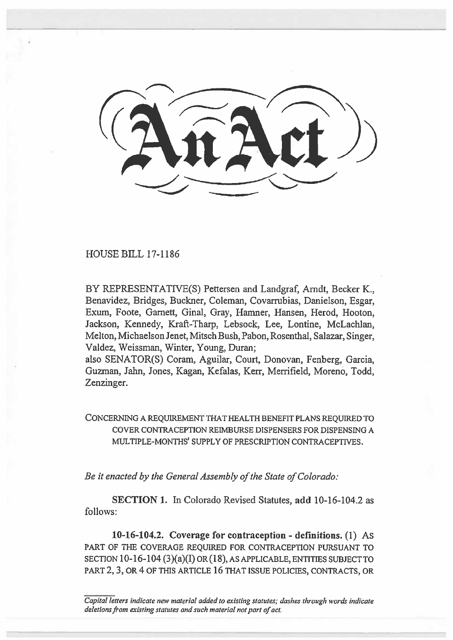HOUSE BILL 17-1186

BY REPRESENTATIVE(S) Pettersen and Landgraf, Arndt, Becker K., Benavidez, Bridges, Buckner, Coleman, Covarrubias, Danielson, Esgar, Exum, Foote, Garnett, Ginal, Gray, Hamner, Hansen, Herod, Hooton, Jackson, Kennedy, Kraft-Tharp, Lebsock, Lee, Lontine, McLachlan, Melton, Michaelson Jenet, Mitsch Bush, Pabon, Rosenthal, Salazar, Singer, Valdez, Weissman, Winter, Young, Duran;

also SENATOR(S) Coram, Aguilar, Court, Donovan, Fenberg, Garcia, Guzman, Jahn, Jones, Kagan, Kefalas, Kerr, Merrifield, Moreno, Todd, Zenzinger.

CONCERNING A REQUIREMENT THAT HEALTH BENEFIT PLANS REQUIRED TO COVER CONTRACEPTION REIMBURSE DISPENSERS FOR DISPENSING A MULTIPLE-MONTHS' SUPPLY OF PRESCRIPTION CONTRACEPTIVES.

*Be it enacted by the General Assembly of the State of Colorado:* 

**SECTION 1.** In Colorado Revised Statutes, **add** 10-16-104.2 as **follows:** 

**10-16-104.2. Coverage for contraception - definitions. (1) As**  PART OF THE COVERAGE REQUIRED FOR CONTRACEPTION PURSUANT TO SECTION 10-16-104 (3)(a)(I) OR (18), AS APPLICABLE, ENTITIES SUBJECT TO PART 2, 3, OR 4 OF THIS ARTICLE 16 THAT ISSUE POLICIES, CONTRACTS, OR

*Capital letters indicate new material added to existing statutes; dashes through words indicate deletions from existing statutes and such material not part of act.*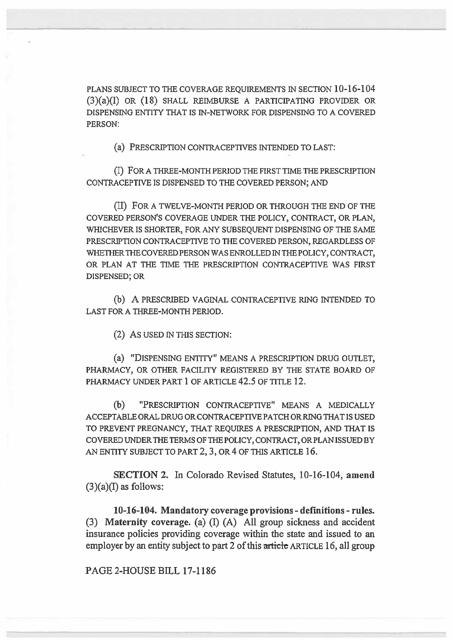PLANS SUBJECT TO THE COVERAGE REQUIREMENTS IN SECTION 10-16-104 (3)(a)(I) OR (18) SHALL REIMBURSE A PARTICIPATING PROVIDER OR DISPENSING ENTITY THAT IS IN-NETWORK FOR DISPENSING TO A COVERED PERSON:

(a) PRESCRIPTION CONTRACEPTIVES INTENDED TO LAST:

(I) FOR A THREE-MONTH PERIOD THE FIRST TIME THE PRESCRIPTION CONTRACEPTIVE IS DISPENSED TO THE COVERED PERSON; AND

(II) FOR A TWELVE-MONTH PERIOD OR THROUGH THE END OF THE COVERED PERSON'S COVERAGE UNDER THE POLICY, CONTRACT, OR. PLAN, WHICHEVER IS SHORTER, FOR ANY SUBSEQUENT DISPENSING OF THE SAME PRESCRIPTION CONTRACEPTIVE TO THE COVERED PERSON, REGARDLESS OF WHETHER THE COVERED PERSON WAS ENROLLED IN THE POLICY, CONTRACT, OR PLAN AT THE TIME THE PRESCRIPTION CONTRACEPTIVE WAS FIRST DISPENSED; OR

(b) A PRESCRIBED VAGINAL CONTRACEPTIVE RING INTENDED TO LAST FOR A THREE-MONTH PERIOD.

(2) As USED IN THIS SECTION:

(a) "DISPENSING ENTITY" MEANS A PRESCRIPTION DRUG OUTLET, PHARMACY, OR OTHER FACILITY REGISTERED BY THE STATE BOARD OF PHARMACY UNDER PART 1 OF ARTICLE 42.5 OF TITLE 12.

(b) "PRESCRIPTION CONTRACEPTIVE" MEANS A MEDICALLY ACCEPTABLE ORAL DRUG OR CONTRACEPTIVE PATCH OR RING THAT IS USED TO PREVENT PREGNANCY, THAT REQUIRES A PRESCRIPTION, AND THAT IS COVERED UNDER THE TERMS OF THE POLICY, CONTRACT, OR PLAN ISSUED BY AN ENTITY SUBJECT TO PART 2, 3, OR 4 OF THIS ARTICLE 16.

**SECTION 2.** In Colorado Revised Statutes, 10-16-104, **amend**   $(3)(a)$ (I) as follows:

**10-16-104. Mandatory coverage provisions - definitions - rules.**  (3) **Maternity coverage.** (a) (I) (A) All group sickness and accident insurance policies providing coverage within the state and issued to an employer by an entity subject to part 2 of this article ARTICLE 16, all group

PAGE 2-HOUSE BILL 17-1186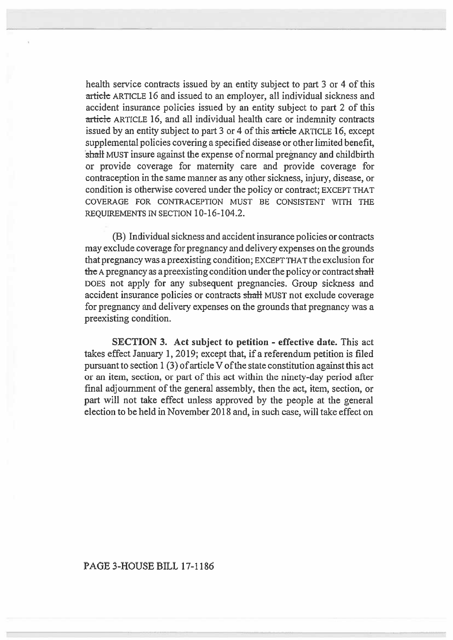health service contracts issued by an entity subject to part 3 or 4 of this article ARTICLE 16 and issued to an employer, all individual sickness and accident insurance policies issued by an entity subject to part 2 of this article ARTICLE 16, and all individual health care or indemnity contracts issued by an entity subject to part 3 or 4 of this article ARTICLE 16, except supplemental policies covering a specified disease or other limited benefit, shall MUST insure against the expense of normal pregnancy and childbirth or provide coverage for maternity care and provide coverage for contraception in the same manner as any other sickness, injury, disease, or condition is otherwise covered under the policy or contract; EXCEPT THAT COVERAGE FOR CONTRACEPTION MUST BE CONSISTENT WITH THE REQUIREMENTS IN SECTION 10-16-104.2.

(B) Individual sickness and accident insurance policies or contracts may exclude coverage for pregnancy and delivery expenses on the grounds that pregnancy was a preexisting condition; EXCEPT THAT the exclusion for **the** A pregnancy as a preexisting condition under the policy or contract shall DOES not apply for any subsequent pregnancies. Group sickness and accident insurance policies or contracts shall MUST not exclude coverage for pregnancy and delivery expenses on the grounds that pregnancy was a preexisting condition.

**SECTION 3. Act subject to petition - effective date.** This act takes effect January **1,** 2019; except that, if a referendum petition is filed pursuant to section 1 (3) of article V of the state constitution against this act or an item, section, or part of this act within the ninety-day period after final adjournment of the general assembly, then the act, item, section, or **part will** not take effect unless approved by the people at the general **election to be held** in November 2018 and, in such case, will take effect on

## PAGE 3-HOUSE BILL 17-1186